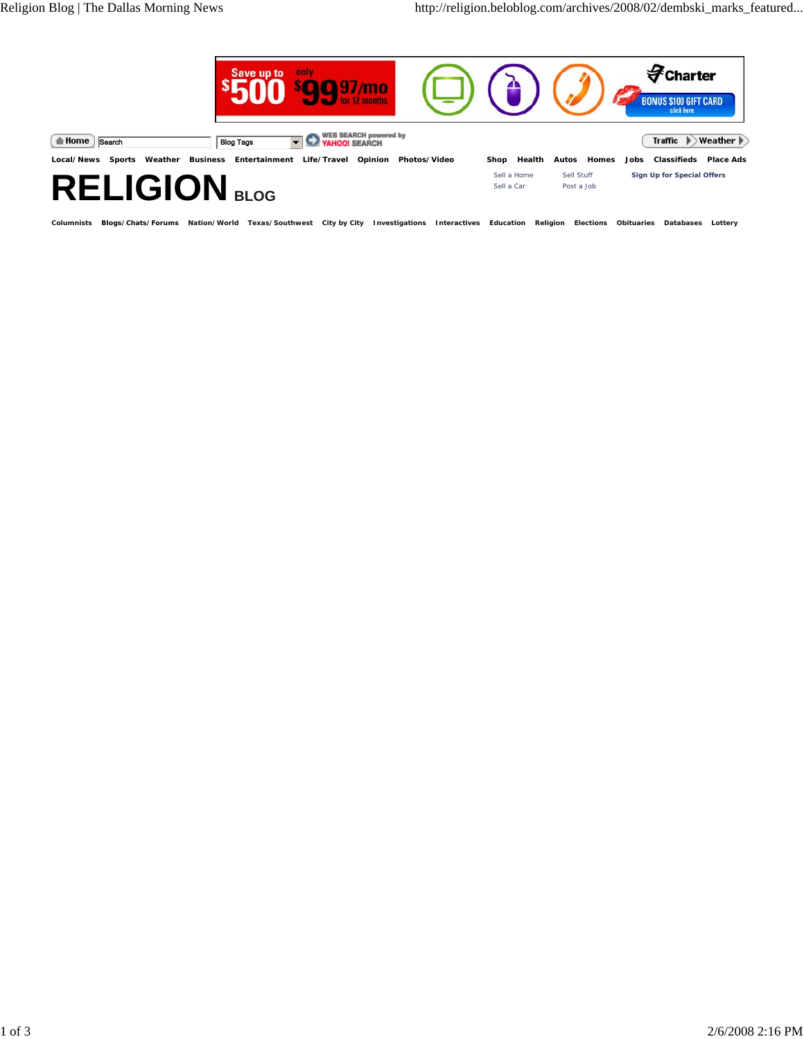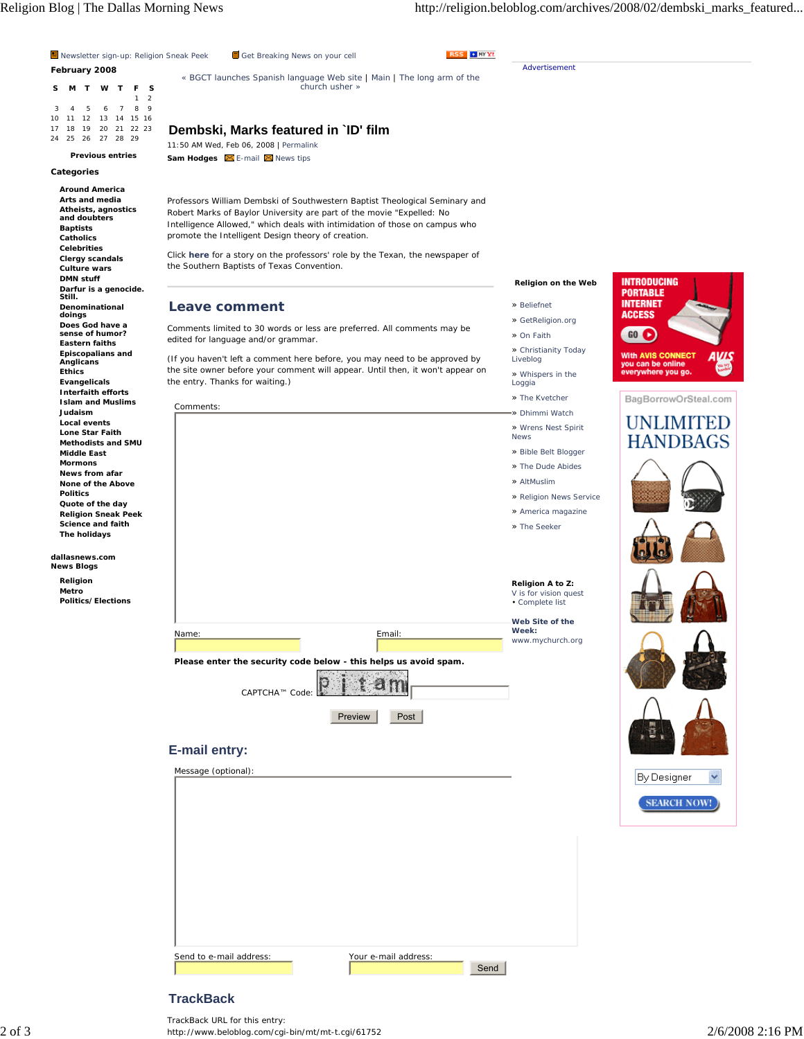Religion Blog | The Dallas Morning News http://religion.beloblog.com/archives/2008/02/dembski\_marks\_featured...



## **TrackBack**

 $2$  of  $3$   $\hbox{http://www.beloblog.com/cgi-bin/mt/mt-t.cgi/61752}$   $2/6/2008$   $2:16$   $\hbox{PM}$ TrackBack URL for this entry: